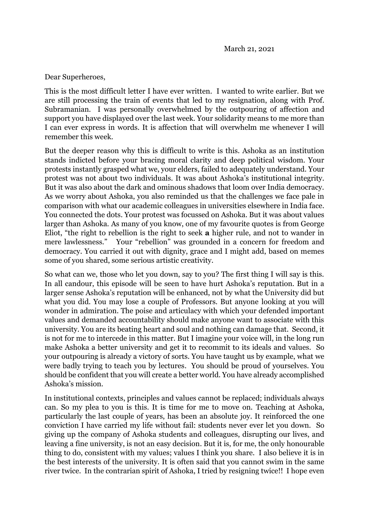## Dear Superheroes,

This is the most difficult letter I have ever written. I wanted to write earlier. But we are still processing the train of events that led to my resignation, along with Prof. Subramanian. I was personally overwhelmed by the outpouring of affection and support you have displayed over the last week. Your solidarity means to me more than I can ever express in words. It is affection that will overwhelm me whenever I will remember this week.

But the deeper reason why this is difficult to write is this. Ashoka as an institution stands indicted before your bracing moral clarity and deep political wisdom. Your protests instantly grasped what we, your elders, failed to adequately understand. Your protest was not about two individuals. It was about Ashoka's institutional integrity. But it was also about the dark and ominous shadows that loom over India democracy. As we worry about Ashoka, you also reminded us that the challenges we face pale in comparison with what our academic colleagues in universities elsewhere in India face. You connected the dots. Your protest was focussed on Ashoka. But it was about values larger than Ashoka. As many of you know, one of my favourite quotes is from George Eliot, "the right to rebellion is the right to seek **a** higher rule, and not to wander in mere lawlessness." Your "rebellion" was grounded in a concern for freedom and democracy. You carried it out with dignity, grace and I might add, based on memes some of you shared, some serious artistic creativity.

So what can we, those who let you down, say to you? The first thing I will say is this. In all candour, this episode will be seen to have hurt Ashoka's reputation. But in a larger sense Ashoka's reputation will be enhanced, not by what the University did but what you did. You may lose a couple of Professors. But anyone looking at you will wonder in admiration. The poise and articulacy with which your defended important values and demanded accountability should make anyone want to associate with this university. You are its beating heart and soul and nothing can damage that. Second, it is not for me to intercede in this matter. But I imagine your voice will, in the long run make Ashoka a better university and get it to recommit to its ideals and values. So your outpouring is already a victory of sorts. You have taught us by example, what we were badly trying to teach you by lectures. You should be proud of yourselves. You should be confident that you will create a better world. You have already accomplished Ashoka's mission.

In institutional contexts, principles and values cannot be replaced; individuals always can. So my plea to you is this. It is time for me to move on. Teaching at Ashoka, particularly the last couple of years, has been an absolute joy. It reinforced the one conviction I have carried my life without fail: students never ever let you down. So giving up the company of Ashoka students and colleagues, disrupting our lives, and leaving a fine university, is not an easy decision. But it is, for me, the only honourable thing to do, consistent with my values; values I think you share. I also believe it is in the best interests of the university. It is often said that you cannot swim in the same river twice. In the contrarian spirit of Ashoka, I tried by resigning twice!! I hope even